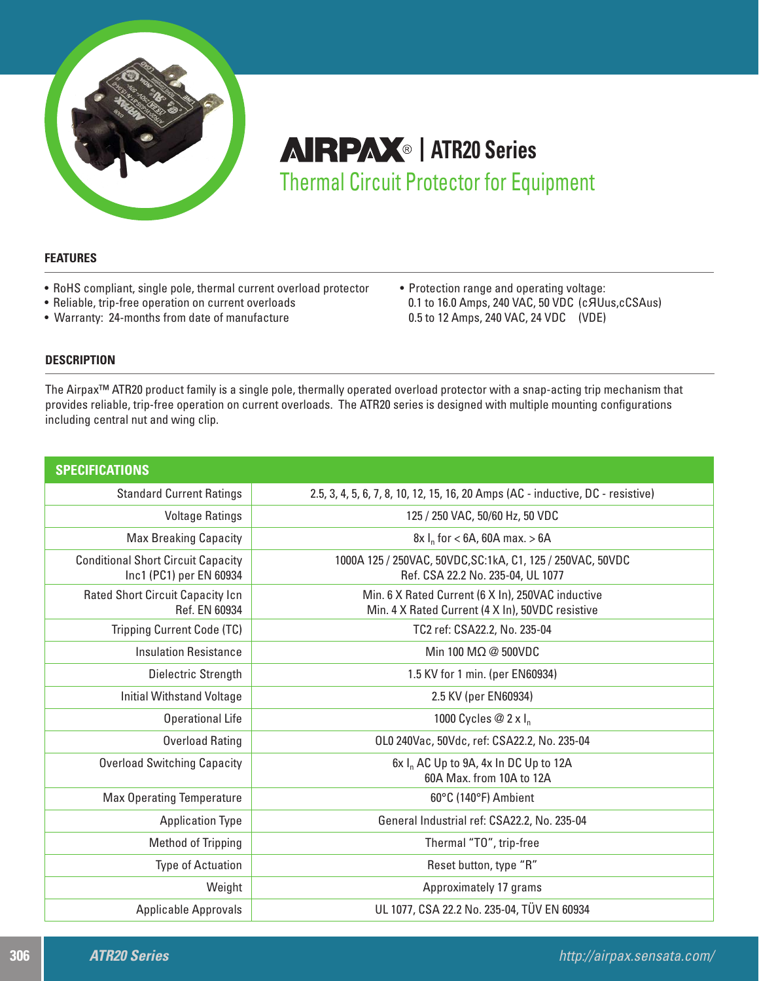

# **AIRPAX**® | ATR20 Series Thermal Circuit Protector for Equipment

# **FEATURES**

- RoHS compliant, single pole, thermal current overload protector
- Reliable, trip-free operation on current overloads
- Warranty: 24-months from date of manufacture

• Protection range and operating voltage: 0.1 to 16.0 Amps, 240 VAC, 50 VDC (cЯUus,cCSAus) 0.5 to 12 Amps, 240 VAC, 24 VDC (VDE)

# **DESCRIPTION**

The Airpax™ ATR20 product family is a single pole, thermally operated overload protector with a snap-acting trip mechanism that provides reliable, trip-free operation on current overloads. The ATR20 series is designed with multiple mounting configurations including central nut and wing clip.

| <b>SPECIFICATIONS</b>                                                |                                                                                                       |
|----------------------------------------------------------------------|-------------------------------------------------------------------------------------------------------|
| <b>Standard Current Ratings</b>                                      | 2.5, 3, 4, 5, 6, 7, 8, 10, 12, 15, 16, 20 Amps (AC - inductive, DC - resistive)                       |
| <b>Voltage Ratings</b>                                               | 125 / 250 VAC, 50/60 Hz, 50 VDC                                                                       |
| <b>Max Breaking Capacity</b>                                         | $8x \, I_n$ for < 6A, 60A max. > 6A                                                                   |
| <b>Conditional Short Circuit Capacity</b><br>Inc1 (PC1) per EN 60934 | 1000A 125 / 250VAC, 50VDC, SC: 1kA, C1, 125 / 250VAC, 50VDC<br>Ref. CSA 22.2 No. 235-04, UL 1077      |
| <b>Rated Short Circuit Capacity Icn</b><br>Ref. EN 60934             | Min. 6 X Rated Current (6 X In), 250VAC inductive<br>Min. 4 X Rated Current (4 X In), 50VDC resistive |
| Tripping Current Code (TC)                                           | TC2 ref: CSA22.2, No. 235-04                                                                          |
| <b>Insulation Resistance</b>                                         | Min 100 M $\Omega$ @ 500VDC                                                                           |
| Dielectric Strength                                                  | 1.5 KV for 1 min. (per EN60934)                                                                       |
| <b>Initial Withstand Voltage</b>                                     | 2.5 KV (per EN60934)                                                                                  |
| <b>Operational Life</b>                                              | 1000 Cycles @ 2 x I <sub>n</sub>                                                                      |
| <b>Overload Rating</b>                                               | OLO 240Vac, 50Vdc, ref: CSA22.2, No. 235-04                                                           |
| <b>Overload Switching Capacity</b>                                   | $6x I_n AC Up to 9A, 4x In DC Up to 12A$<br>60A Max. from 10A to 12A                                  |
| <b>Max Operating Temperature</b>                                     | 60°C (140°F) Ambient                                                                                  |
| <b>Application Type</b>                                              | General Industrial ref: CSA22.2, No. 235-04                                                           |
| Method of Tripping                                                   | Thermal "TO", trip-free                                                                               |
| <b>Type of Actuation</b>                                             | Reset button, type "R"                                                                                |
| Weight                                                               | Approximately 17 grams                                                                                |
| <b>Applicable Approvals</b>                                          | UL 1077, CSA 22.2 No. 235-04, TÜV EN 60934                                                            |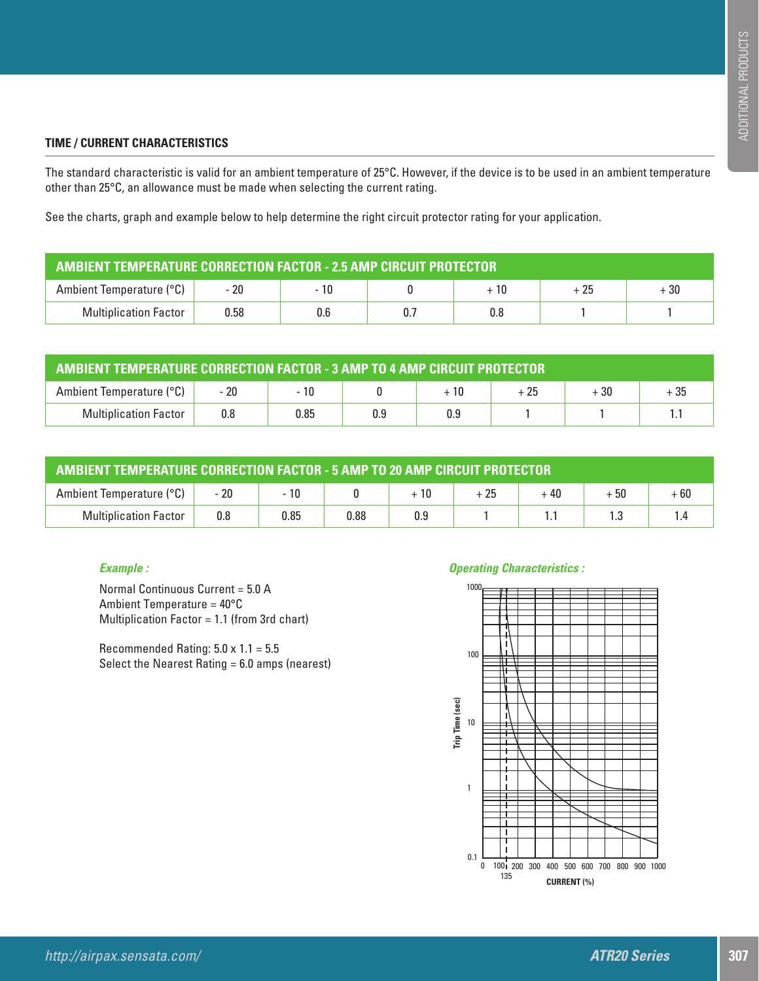# **TIME / CURRENT CHARACTERISTICS**

The standard characteristic is valid for an ambient temperature of 25°C. However, if the device is to be used in an ambient temperature other than 25°C, an allowance must be made when selecting the current rating.

See the charts, graph and example below to help determine the right circuit protector rating for your application.

| AMBIENT TEMPERATURE CORRECTION FACTOR - 2.5 AMP CIRCUIT PROTECTOR |       |      |    |      |       |       |  |
|-------------------------------------------------------------------|-------|------|----|------|-------|-------|--|
| Ambient Temperature (°C)                                          | $-20$ | - 10 |    | + 10 | $+25$ | $+30$ |  |
| <b>Multiplication Factor</b>                                      | 0.58  | 0.6  | 0. | 0.8  |       |       |  |

| <b>AMBIENT TEMPERATURE CORRECTION FACTOR - 3 AMP TO 4 AMP CIRCUIT PROTECTOR</b> |     |       |     |       |       |       |      |  |
|---------------------------------------------------------------------------------|-----|-------|-----|-------|-------|-------|------|--|
| Ambient Temperature (°C)                                                        |     | $-10$ |     | $+10$ | $+25$ | $+30$ | + 35 |  |
| <b>Multiplication Factor</b>                                                    | 0.8 | 0.85  | 0.9 | 0.9   |       |       |      |  |

| <b>AMBIENT TEMPERATURE CORRECTION FACTOR - 5 AMP TO 20 AMP CIRCUIT PROTECTOR</b> |      |      |      |      |      |      |       |       |
|----------------------------------------------------------------------------------|------|------|------|------|------|------|-------|-------|
| Ambient Temperature (°C)                                                         | - 20 | - 10 |      | + 10 | + 25 | + 40 | $+50$ | $+60$ |
| <b>Multiplication Factor</b>                                                     | 0.8  | 0.85 | 0.88 | 0.9  |      |      |       |       |

# *Example :*

Normal Continuous Current = 5.0 A Ambient Temperature = 40°C Multiplication Factor = 1.1 (from 3rd chart)

Recommended Rating: 5.0 x 1.1 = 5.5 Select the Nearest Rating = 6.0 amps (nearest)

# *Operating Characteristics :*

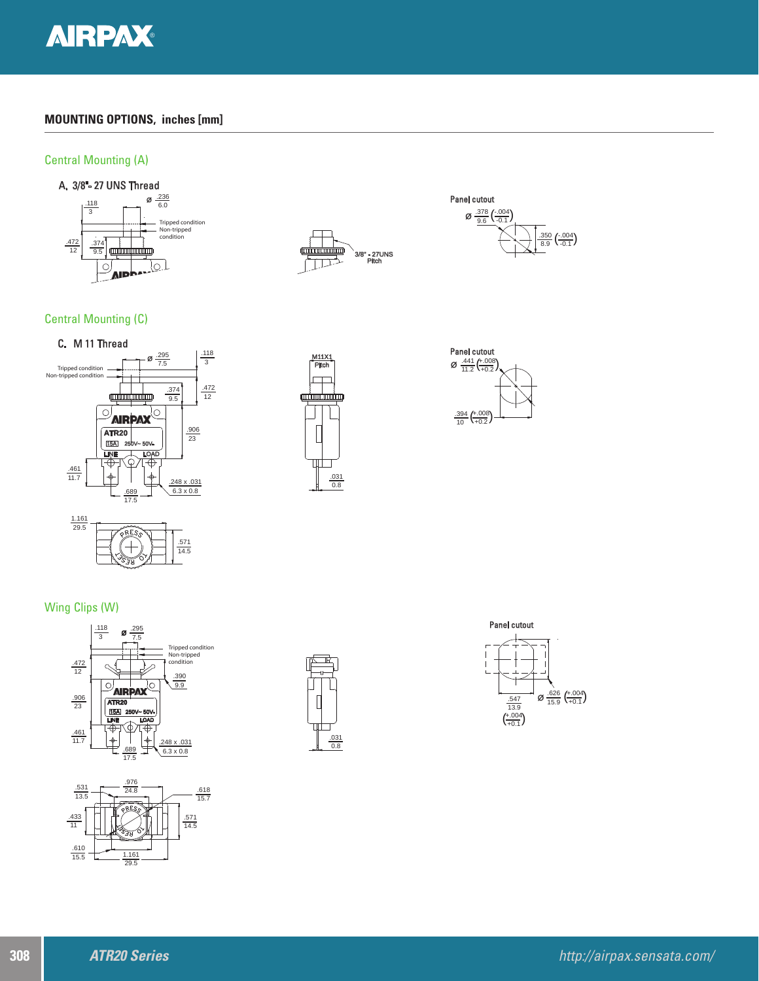

# **MOUNTING OPTIONS, inches [mm]**

### Central Mounting (A)







Central Mounting (C)







Wing Clips (W)